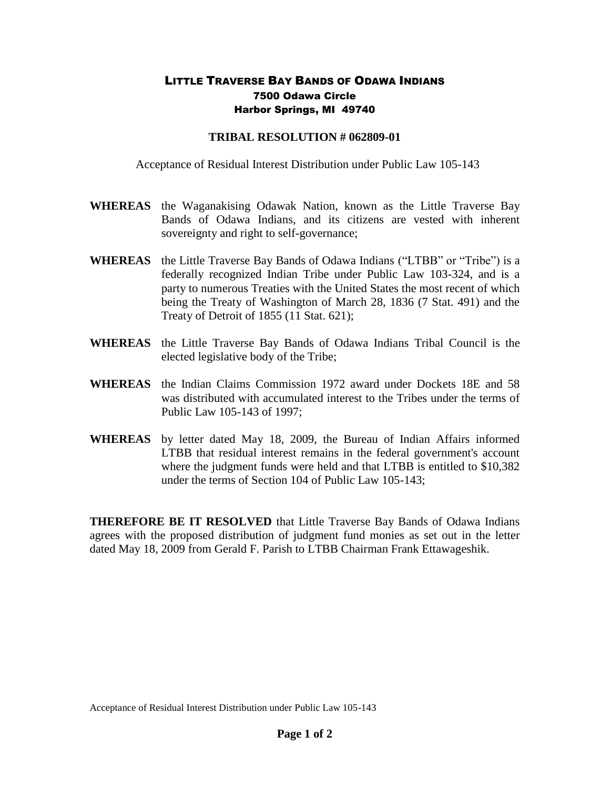## LITTLE TRAVERSE BAY BANDS OF ODAWA INDIANS 7500 Odawa Circle Harbor Springs, MI 49740

## **TRIBAL RESOLUTION # 062809-01**

Acceptance of Residual Interest Distribution under Public Law 105-143

- **WHEREAS** the Waganakising Odawak Nation, known as the Little Traverse Bay Bands of Odawa Indians, and its citizens are vested with inherent sovereignty and right to self-governance;
- **WHEREAS** the Little Traverse Bay Bands of Odawa Indians ("LTBB" or "Tribe") is a federally recognized Indian Tribe under Public Law 103-324, and is a party to numerous Treaties with the United States the most recent of which being the Treaty of Washington of March 28, 1836 (7 Stat. 491) and the Treaty of Detroit of 1855 (11 Stat. 621);
- **WHEREAS** the Little Traverse Bay Bands of Odawa Indians Tribal Council is the elected legislative body of the Tribe;
- **WHEREAS** the Indian Claims Commission 1972 award under Dockets 18E and 58 was distributed with accumulated interest to the Tribes under the terms of Public Law 105-143 of 1997;
- **WHEREAS** by letter dated May 18, 2009, the Bureau of Indian Affairs informed LTBB that residual interest remains in the federal government's account where the judgment funds were held and that LTBB is entitled to \$10,382 under the terms of Section 104 of Public Law 105-143;

**THEREFORE BE IT RESOLVED** that Little Traverse Bay Bands of Odawa Indians agrees with the proposed distribution of judgment fund monies as set out in the letter dated May 18, 2009 from Gerald F. Parish to LTBB Chairman Frank Ettawageshik.